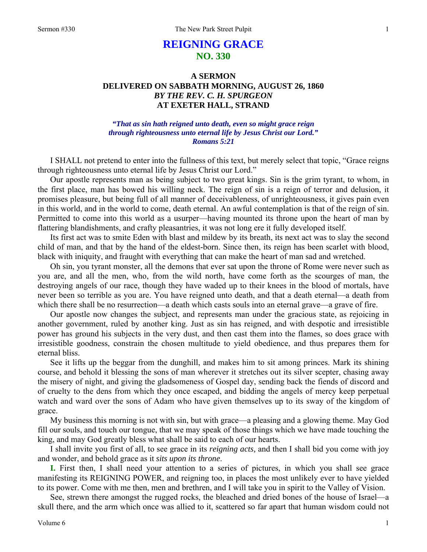# **REIGNING GRACE NO. 330**

## **A SERMON DELIVERED ON SABBATH MORNING, AUGUST 26, 1860**  *BY THE REV. C. H. SPURGEON*  **AT EXETER HALL, STRAND**

## *"That as sin hath reigned unto death, even so might grace reign through righteousness unto eternal life by Jesus Christ our Lord." Romans 5:21*

I SHALL not pretend to enter into the fullness of this text, but merely select that topic, "Grace reigns through righteousness unto eternal life by Jesus Christ our Lord."

Our apostle represents man as being subject to two great kings. Sin is the grim tyrant, to whom, in the first place, man has bowed his willing neck. The reign of sin is a reign of terror and delusion, it promises pleasure, but being full of all manner of deceivableness, of unrighteousness, it gives pain even in this world, and in the world to come, death eternal. An awful contemplation is that of the reign of sin. Permitted to come into this world as a usurper—having mounted its throne upon the heart of man by flattering blandishments, and crafty pleasantries, it was not long ere it fully developed itself.

Its first act was to smite Eden with blast and mildew by its breath, its next act was to slay the second child of man, and that by the hand of the eldest-born. Since then, its reign has been scarlet with blood, black with iniquity, and fraught with everything that can make the heart of man sad and wretched.

Oh sin, you tyrant monster, all the demons that ever sat upon the throne of Rome were never such as you are, and all the men, who, from the wild north, have come forth as the scourges of man, the destroying angels of our race, though they have waded up to their knees in the blood of mortals, have never been so terrible as you are. You have reigned unto death, and that a death eternal—a death from which there shall be no resurrection—a death which casts souls into an eternal grave—a grave of fire.

Our apostle now changes the subject, and represents man under the gracious state, as rejoicing in another government, ruled by another king. Just as sin has reigned, and with despotic and irresistible power has ground his subjects in the very dust, and then cast them into the flames, so does grace with irresistible goodness, constrain the chosen multitude to yield obedience, and thus prepares them for eternal bliss.

See it lifts up the beggar from the dunghill, and makes him to sit among princes. Mark its shining course, and behold it blessing the sons of man wherever it stretches out its silver scepter, chasing away the misery of night, and giving the gladsomeness of Gospel day, sending back the fiends of discord and of cruelty to the dens from which they once escaped, and bidding the angels of mercy keep perpetual watch and ward over the sons of Adam who have given themselves up to its sway of the kingdom of grace.

My business this morning is not with sin, but with grace—a pleasing and a glowing theme. May God fill our souls, and touch our tongue, that we may speak of those things which we have made touching the king, and may God greatly bless what shall be said to each of our hearts.

I shall invite you first of all, to see grace in its *reigning acts,* and then I shall bid you come with joy and wonder, and behold grace as it *sits upon its throne*.

**I.** First then, I shall need your attention to a series of pictures, in which you shall see grace manifesting its REIGNING POWER, and reigning too, in places the most unlikely ever to have yielded to its power. Come with me then, men and brethren, and I will take you in spirit to the Valley of Vision.

See, strewn there amongst the rugged rocks, the bleached and dried bones of the house of Israel—a skull there, and the arm which once was allied to it, scattered so far apart that human wisdom could not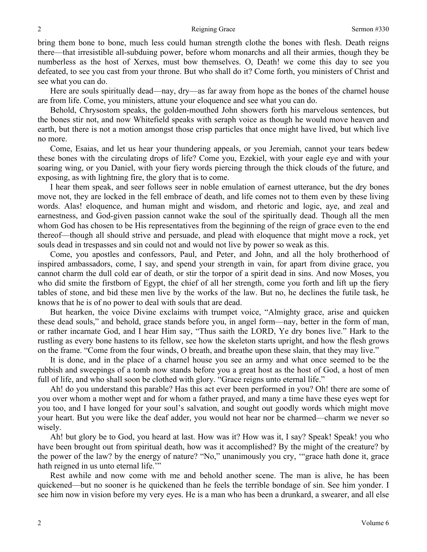bring them bone to bone, much less could human strength clothe the bones with flesh. Death reigns there—that irresistible all-subduing power, before whom monarchs and all their armies, though they be numberless as the host of Xerxes, must bow themselves. O, Death! we come this day to see you defeated, to see you cast from your throne. But who shall do it? Come forth, you ministers of Christ and see what you can do.

Here are souls spiritually dead—nay, dry—as far away from hope as the bones of the charnel house are from life. Come, you ministers, attune your eloquence and see what you can do.

Behold, Chrysostom speaks, the golden-mouthed John showers forth his marvelous sentences, but the bones stir not, and now Whitefield speaks with seraph voice as though he would move heaven and earth, but there is not a motion amongst those crisp particles that once might have lived, but which live no more.

Come, Esaias, and let us hear your thundering appeals, or you Jeremiah, cannot your tears bedew these bones with the circulating drops of life? Come you, Ezekiel, with your eagle eye and with your soaring wing, or you Daniel, with your fiery words piercing through the thick clouds of the future, and exposing, as with lightning fire, the glory that is to come.

I hear them speak, and seer follows seer in noble emulation of earnest utterance, but the dry bones move not, they are locked in the fell embrace of death, and life comes not to them even by these living words. Alas! eloquence, and human might and wisdom, and rhetoric and logic, aye, and zeal and earnestness, and God-given passion cannot wake the soul of the spiritually dead. Though all the men whom God has chosen to be His representatives from the beginning of the reign of grace even to the end thereof—though all should strive and persuade, and plead with eloquence that might move a rock, yet souls dead in trespasses and sin could not and would not live by power so weak as this.

Come, you apostles and confessors, Paul, and Peter, and John, and all the holy brotherhood of inspired ambassadors, come, I say, and spend your strength in vain, for apart from divine grace, you cannot charm the dull cold ear of death, or stir the torpor of a spirit dead in sins. And now Moses, you who did smite the firstborn of Egypt, the chief of all her strength, come you forth and lift up the fiery tables of stone, and bid these men live by the works of the law. But no, he declines the futile task, he knows that he is of no power to deal with souls that are dead.

But hearken, the voice Divine exclaims with trumpet voice, "Almighty grace, arise and quicken these dead souls," and behold, grace stands before you, in angel form—nay, better in the form of man, or rather incarnate God, and I hear Him say, "Thus saith the LORD, Ye dry bones live." Hark to the rustling as every bone hastens to its fellow, see how the skeleton starts upright, and how the flesh grows on the frame. "Come from the four winds, O breath, and breathe upon these slain, that they may live."

It is done, and in the place of a charnel house you see an army and what once seemed to be the rubbish and sweepings of a tomb now stands before you a great host as the host of God, a host of men full of life, and who shall soon be clothed with glory. "Grace reigns unto eternal life."

Ah! do you understand this parable? Has this act ever been performed in you? Oh! there are some of you over whom a mother wept and for whom a father prayed, and many a time have these eyes wept for you too, and I have longed for your soul's salvation, and sought out goodly words which might move your heart. But you were like the deaf adder, you would not hear nor be charmed—charm we never so wisely.

Ah! but glory be to God, you heard at last. How was it? How was it, I say? Speak! Speak! you who have been brought out from spiritual death, how was it accomplished? By the might of the creature? by the power of the law? by the energy of nature? "No," unanimously you cry, '"grace hath done it, grace hath reigned in us unto eternal life."

Rest awhile and now come with me and behold another scene. The man is alive, he has been quickened—but no sooner is he quickened than he feels the terrible bondage of sin. See him yonder. I see him now in vision before my very eyes. He is a man who has been a drunkard, a swearer, and all else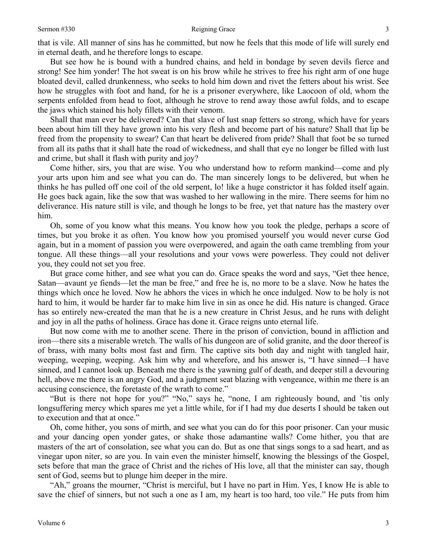#### Sermon #330 Reigning Grace

that is vile. All manner of sins has he committed, but now he feels that this mode of life will surely end in eternal death, and he therefore longs to escape.

But see how he is bound with a hundred chains, and held in bondage by seven devils fierce and strong! See him yonder! The hot sweat is on his brow while he strives to free his right arm of one huge bloated devil, called drunkenness, who seeks to hold him down and rivet the fetters about his wrist. See how he struggles with foot and hand, for he is a prisoner everywhere, like Laocoon of old, whom the serpents enfolded from head to foot, although he strove to rend away those awful folds, and to escape the jaws which stained his holy fillets with their venom.

Shall that man ever be delivered? Can that slave of lust snap fetters so strong, which have for years been about him till they have grown into his very flesh and become part of his nature? Shall that lip be freed from the propensity to swear? Can that heart be delivered from pride? Shall that foot be so turned from all its paths that it shall hate the road of wickedness, and shall that eye no longer be filled with lust and crime, but shall it flash with purity and joy?

Come hither, sirs, you that are wise. You who understand how to reform mankind—come and ply your arts upon him and see what you can do. The man sincerely longs to be delivered, but when he thinks he has pulled off one coil of the old serpent, lo! like a huge constrictor it has folded itself again. He goes back again, like the sow that was washed to her wallowing in the mire. There seems for him no deliverance. His nature still is vile, and though he longs to be free, yet that nature has the mastery over him.

Oh, some of you know what this means. You know how you took the pledge, perhaps a score of times, but you broke it as often. You know how you promised yourself you would never curse God again, but in a moment of passion you were overpowered, and again the oath came trembling from your tongue. All these things—all your resolutions and your vows were powerless. They could not deliver you, they could not set you free.

But grace come hither, and see what you can do. Grace speaks the word and says, "Get thee hence, Satan—avaunt ye fiends—let the man be free," and free he is, no more to be a slave. Now he hates the things which once he loved. Now he abhors the vices in which he once indulged. Now to be holy is not hard to him, it would be harder far to make him live in sin as once he did. His nature is changed. Grace has so entirely new-created the man that he is a new creature in Christ Jesus, and he runs with delight and joy in all the paths of holiness. Grace has done it. Grace reigns unto eternal life.

But now come with me to another scene. There in the prison of conviction, bound in affliction and iron—there sits a miserable wretch. The walls of his dungeon are of solid granite, and the door thereof is of brass, with many bolts most fast and firm. The captive sits both day and night with tangled hair, weeping, weeping, weeping. Ask him why and wherefore, and his answer is, "I have sinned—I have sinned, and I cannot look up. Beneath me there is the yawning gulf of death, and deeper still a devouring hell, above me there is an angry God, and a judgment seat blazing with vengeance, within me there is an accusing conscience, the foretaste of the wrath to come."

"But is there not hope for you?" "No," says he, "none, I am righteously bound, and 'tis only longsuffering mercy which spares me yet a little while, for if I had my due deserts I should be taken out to execution and that at once."

Oh, come hither, you sons of mirth, and see what you can do for this poor prisoner. Can your music and your dancing open yonder gates, or shake those adamantine walls? Come hither, you that are masters of the art of consolation, see what you can do. But as one that sings songs to a sad heart, and as vinegar upon niter, so are you. In vain even the minister himself, knowing the blessings of the Gospel, sets before that man the grace of Christ and the riches of His love, all that the minister can say, though sent of God, seems but to plunge him deeper in the mire.

"Ah," groans the mourner, "Christ is merciful, but I have no part in Him. Yes, I know He is able to save the chief of sinners, but not such a one as I am, my heart is too hard, too vile." He puts from him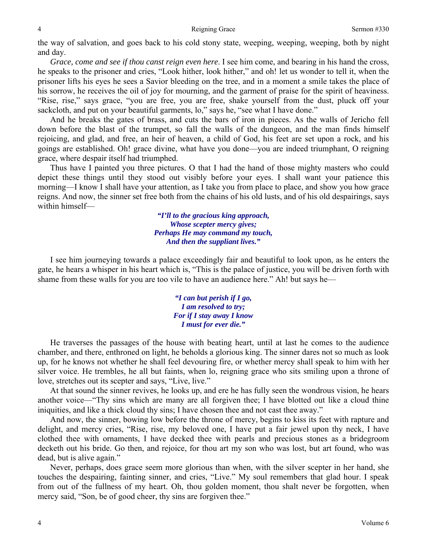the way of salvation, and goes back to his cold stony state, weeping, weeping, weeping, both by night and day.

*Grace, come and see if thou canst reign even here*. I see him come, and bearing in his hand the cross, he speaks to the prisoner and cries, "Look hither, look hither," and oh! let us wonder to tell it, when the prisoner lifts his eyes he sees a Savior bleeding on the tree, and in a moment a smile takes the place of his sorrow, he receives the oil of joy for mourning, and the garment of praise for the spirit of heaviness. "Rise, rise," says grace, "you are free, you are free, shake yourself from the dust, pluck off your sackcloth, and put on your beautiful garments, lo," says he, "see what I have done."

And he breaks the gates of brass, and cuts the bars of iron in pieces. As the walls of Jericho fell down before the blast of the trumpet, so fall the walls of the dungeon, and the man finds himself rejoicing, and glad, and free, an heir of heaven, a child of God, his feet are set upon a rock, and his goings are established. Oh! grace divine, what have you done—you are indeed triumphant, O reigning grace, where despair itself had triumphed.

Thus have I painted you three pictures. O that I had the hand of those mighty masters who could depict these things until they stood out visibly before your eyes. I shall want your patience this morning—I know I shall have your attention, as I take you from place to place, and show you how grace reigns. And now, the sinner set free both from the chains of his old lusts, and of his old despairings, says within himself—

> *"I'll to the gracious king approach, Whose scepter mercy gives; Perhaps He may command my touch, And then the suppliant lives."*

I see him journeying towards a palace exceedingly fair and beautiful to look upon, as he enters the gate, he hears a whisper in his heart which is, "This is the palace of justice, you will be driven forth with shame from these walls for you are too vile to have an audience here." Ah! but says he—

> *"I can but perish if I go, I am resolved to try; For if I stay away I know I must for ever die."*

He traverses the passages of the house with beating heart, until at last he comes to the audience chamber, and there, enthroned on light, he beholds a glorious king. The sinner dares not so much as look up, for he knows not whether he shall feel devouring fire, or whether mercy shall speak to him with her silver voice. He trembles, he all but faints, when lo, reigning grace who sits smiling upon a throne of love, stretches out its scepter and says, "Live, live."

At that sound the sinner revives, he looks up, and ere he has fully seen the wondrous vision, he hears another voice—"Thy sins which are many are all forgiven thee; I have blotted out like a cloud thine iniquities, and like a thick cloud thy sins; I have chosen thee and not cast thee away."

And now, the sinner, bowing low before the throne of mercy, begins to kiss its feet with rapture and delight, and mercy cries, "Rise, rise, my beloved one, I have put a fair jewel upon thy neck, I have clothed thee with ornaments, I have decked thee with pearls and precious stones as a bridegroom decketh out his bride. Go then, and rejoice, for thou art my son who was lost, but art found, who was dead, but is alive again."

Never, perhaps, does grace seem more glorious than when, with the silver scepter in her hand, she touches the despairing, fainting sinner, and cries, "Live." My soul remembers that glad hour. I speak from out of the fullness of my heart. Oh, thou golden moment, thou shalt never be forgotten, when mercy said, "Son, be of good cheer, thy sins are forgiven thee."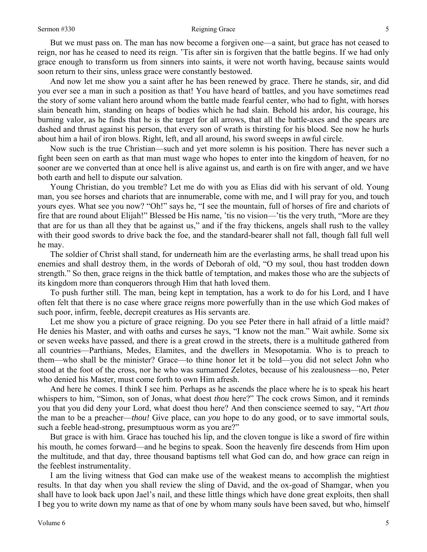#### Sermon #330 Reigning Grace

But we must pass on. The man has now become a forgiven one—a saint, but grace has not ceased to reign, nor has he ceased to need its reign. 'Tis after sin is forgiven that the battle begins. If we had only grace enough to transform us from sinners into saints, it were not worth having, because saints would soon return to their sins, unless grace were constantly bestowed.

And now let me show you a saint after he has been renewed by grace. There he stands, sir, and did you ever see a man in such a position as that! You have heard of battles, and you have sometimes read the story of some valiant hero around whom the battle made fearful center, who had to fight, with horses slain beneath him, standing on heaps of bodies which he had slain. Behold his ardor, his courage, his burning valor, as he finds that he is the target for all arrows, that all the battle-axes and the spears are dashed and thrust against his person, that every son of wrath is thirsting for his blood. See now he hurls about him a hail of iron blows. Right, left, and all around, his sword sweeps in awful circle.

Now such is the true Christian—such and yet more solemn is his position. There has never such a fight been seen on earth as that man must wage who hopes to enter into the kingdom of heaven, for no sooner are we converted than at once hell is alive against us, and earth is on fire with anger, and we have both earth and hell to dispute our salvation.

Young Christian, do you tremble? Let me do with you as Elias did with his servant of old. Young man, you see horses and chariots that are innumerable, come with me, and I will pray for you, and touch yours eyes. What see you now? "Oh!" says he, "I see the mountain, full of horses of fire and chariots of fire that are round about Elijah!" Blessed be His name, 'tis no vision—'tis the very truth, "More are they that are for us than all they that be against us," and if the fray thickens, angels shall rush to the valley with their good swords to drive back the foe, and the standard-bearer shall not fall, though fall full well he may.

The soldier of Christ shall stand, for underneath him are the everlasting arms, he shall tread upon his enemies and shall destroy them, in the words of Deborah of old, "O my soul, thou hast trodden down strength." So then, grace reigns in the thick battle of temptation, and makes those who are the subjects of its kingdom more than conquerors through Him that hath loved them.

To push further still. The man, being kept in temptation, has a work to do for his Lord, and I have often felt that there is no case where grace reigns more powerfully than in the use which God makes of such poor, infirm, feeble, decrepit creatures as His servants are.

Let me show you a picture of grace reigning. Do you see Peter there in hall afraid of a little maid? He denies his Master, and with oaths and curses he says, "I know not the man." Wait awhile. Some six or seven weeks have passed, and there is a great crowd in the streets, there is a multitude gathered from all countries—Parthians, Medes, Elamites, and the dwellers in Mesopotamia. Who is to preach to them—who shall be the minister? Grace—to thine honor let it be told—you did not select John who stood at the foot of the cross, nor he who was surnamed Zelotes, because of his zealousness—no, Peter who denied his Master, must come forth to own Him afresh.

And here he comes. I think I see him. Perhaps as he ascends the place where he is to speak his heart whispers to him, "Simon, son of Jonas, what doest *thou* here?" The cock crows Simon, and it reminds you that you did deny your Lord, what doest thou here? And then conscience seemed to say, "Art *thou* the man to be a preacher—*thou!* Give place, can *you* hope to do any good, or to save immortal souls, such a feeble head-strong, presumptuous worm as you are?"

But grace is with him. Grace has touched his lip, and the cloven tongue is like a sword of fire within his mouth, he comes forward—and he begins to speak. Soon the heavenly fire descends from Him upon the multitude, and that day, three thousand baptisms tell what God can do, and how grace can reign in the feeblest instrumentality.

I am the living witness that God can make use of the weakest means to accomplish the mightiest results. In that day when you shall review the sling of David, and the ox-goad of Shamgar, when you shall have to look back upon Jael's nail, and these little things which have done great exploits, then shall I beg you to write down my name as that of one by whom many souls have been saved, but who, himself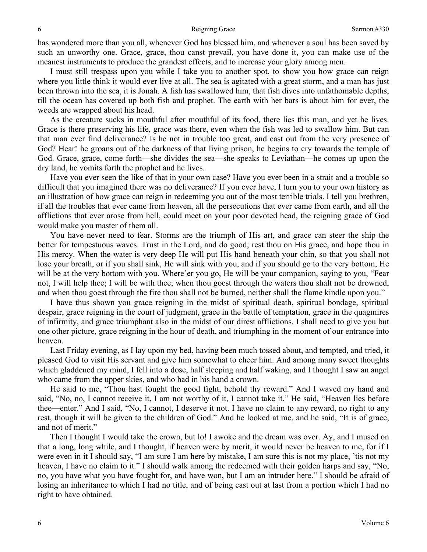has wondered more than you all, whenever God has blessed him, and whenever a soul has been saved by such an unworthy one. Grace, grace, thou canst prevail, you have done it, you can make use of the meanest instruments to produce the grandest effects, and to increase your glory among men.

I must still trespass upon you while I take you to another spot, to show you how grace can reign where you little think it would ever live at all. The sea is agitated with a great storm, and a man has just been thrown into the sea, it is Jonah. A fish has swallowed him, that fish dives into unfathomable depths, till the ocean has covered up both fish and prophet. The earth with her bars is about him for ever, the weeds are wrapped about his head.

As the creature sucks in mouthful after mouthful of its food, there lies this man, and yet he lives. Grace is there preserving his life, grace was there, even when the fish was led to swallow him. But can that man ever find deliverance? Is he not in trouble too great, and cast out from the very presence of God? Hear! he groans out of the darkness of that living prison, he begins to cry towards the temple of God. Grace, grace, come forth—she divides the sea—she speaks to Leviathan—he comes up upon the dry land, he vomits forth the prophet and he lives.

Have you ever seen the like of that in your own case? Have you ever been in a strait and a trouble so difficult that you imagined there was no deliverance? If you ever have, I turn you to your own history as an illustration of how grace can reign in redeeming you out of the most terrible trials. I tell you brethren, if all the troubles that ever came from heaven, all the persecutions that ever came from earth, and all the afflictions that ever arose from hell, could meet on your poor devoted head, the reigning grace of God would make you master of them all.

You have never need to fear. Storms are the triumph of His art, and grace can steer the ship the better for tempestuous waves. Trust in the Lord, and do good; rest thou on His grace, and hope thou in His mercy. When the water is very deep He will put His hand beneath your chin, so that you shall not lose your breath, or if you shall sink, He will sink with you, and if you should go to the very bottom, He will be at the very bottom with you. Where'er you go, He will be your companion, saying to you, "Fear not, I will help thee; I will be with thee; when thou goest through the waters thou shalt not be drowned, and when thou goest through the fire thou shall not be burned, neither shall the flame kindle upon you."

I have thus shown you grace reigning in the midst of spiritual death, spiritual bondage, spiritual despair, grace reigning in the court of judgment, grace in the battle of temptation, grace in the quagmires of infirmity, and grace triumphant also in the midst of our direst afflictions. I shall need to give you but one other picture, grace reigning in the hour of death, and triumphing in the moment of our entrance into heaven.

Last Friday evening, as I lay upon my bed, having been much tossed about, and tempted, and tried, it pleased God to visit His servant and give him somewhat to cheer him. And among many sweet thoughts which gladdened my mind, I fell into a dose, half sleeping and half waking, and I thought I saw an angel who came from the upper skies, and who had in his hand a crown.

He said to me, "Thou hast fought the good fight, behold thy reward." And I waved my hand and said, "No, no, I cannot receive it, I am not worthy of it, I cannot take it." He said, "Heaven lies before thee—enter." And I said, "No, I cannot, I deserve it not. I have no claim to any reward, no right to any rest, though it will be given to the children of God." And he looked at me, and he said, "It is of grace, and not of merit."

Then I thought I would take the crown, but lo! I awoke and the dream was over. Ay, and I mused on that a long, long while, and I thought, if heaven were by merit, it would never be heaven to me, for if I were even in it I should say, "I am sure I am here by mistake, I am sure this is not my place, 'tis not my heaven, I have no claim to it." I should walk among the redeemed with their golden harps and say, "No, no, you have what you have fought for, and have won, but I am an intruder here." I should be afraid of losing an inheritance to which I had no title, and of being cast out at last from a portion which I had no right to have obtained.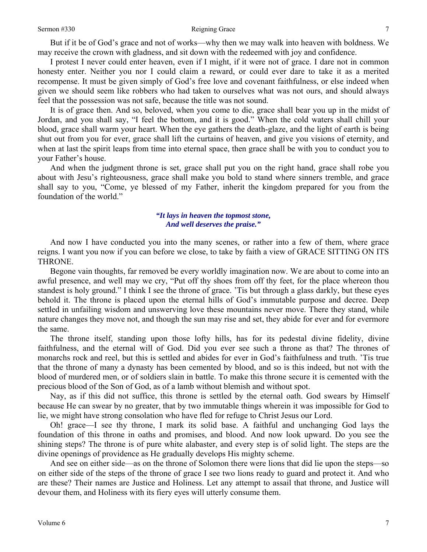#### Sermon #330 Reigning Grace

But if it be of God's grace and not of works—why then we may walk into heaven with boldness. We may receive the crown with gladness, and sit down with the redeemed with joy and confidence.

I protest I never could enter heaven, even if I might, if it were not of grace. I dare not in common honesty enter. Neither you nor I could claim a reward, or could ever dare to take it as a merited recompense. It must be given simply of God's free love and covenant faithfulness, or else indeed when given we should seem like robbers who had taken to ourselves what was not ours, and should always feel that the possession was not safe, because the title was not sound.

It is of grace then. And so, beloved, when you come to die, grace shall bear you up in the midst of Jordan, and you shall say, "I feel the bottom, and it is good." When the cold waters shall chill your blood, grace shall warm your heart. When the eye gathers the death-glaze, and the light of earth is being shut out from you for ever, grace shall lift the curtains of heaven, and give you visions of eternity, and when at last the spirit leaps from time into eternal space, then grace shall be with you to conduct you to your Father's house.

And when the judgment throne is set, grace shall put you on the right hand, grace shall robe you about with Jesu's righteousness, grace shall make you bold to stand where sinners tremble, and grace shall say to you, "Come, ye blessed of my Father, inherit the kingdom prepared for you from the foundation of the world."

## *"It lays in heaven the topmost stone, And well deserves the praise."*

And now I have conducted you into the many scenes, or rather into a few of them, where grace reigns. I want you now if you can before we close, to take by faith a view of GRACE SITTING ON ITS THRONE.

Begone vain thoughts, far removed be every worldly imagination now. We are about to come into an awful presence, and well may we cry, "Put off thy shoes from off thy feet, for the place whereon thou standest is holy ground." I think I see the throne of grace. 'Tis but through a glass darkly, but these eyes behold it. The throne is placed upon the eternal hills of God's immutable purpose and decree. Deep settled in unfailing wisdom and unswerving love these mountains never move. There they stand, while nature changes they move not, and though the sun may rise and set, they abide for ever and for evermore the same.

The throne itself, standing upon those lofty hills, has for its pedestal divine fidelity, divine faithfulness, and the eternal will of God. Did you ever see such a throne as that? The thrones of monarchs rock and reel, but this is settled and abides for ever in God's faithfulness and truth. 'Tis true that the throne of many a dynasty has been cemented by blood, and so is this indeed, but not with the blood of murdered men, or of soldiers slain in battle. To make this throne secure it is cemented with the precious blood of the Son of God, as of a lamb without blemish and without spot.

Nay, as if this did not suffice, this throne is settled by the eternal oath. God swears by Himself because He can swear by no greater, that by two immutable things wherein it was impossible for God to lie, we might have strong consolation who have fled for refuge to Christ Jesus our Lord.

Oh! grace—I see thy throne, I mark its solid base. A faithful and unchanging God lays the foundation of this throne in oaths and promises, and blood. And now look upward. Do you see the shining steps? The throne is of pure white alabaster, and every step is of solid light. The steps are the divine openings of providence as He gradually develops His mighty scheme.

And see on either side—as on the throne of Solomon there were lions that did lie upon the steps—so on either side of the steps of the throne of grace I see two lions ready to guard and protect it. And who are these? Their names are Justice and Holiness. Let any attempt to assail that throne, and Justice will devour them, and Holiness with its fiery eyes will utterly consume them.